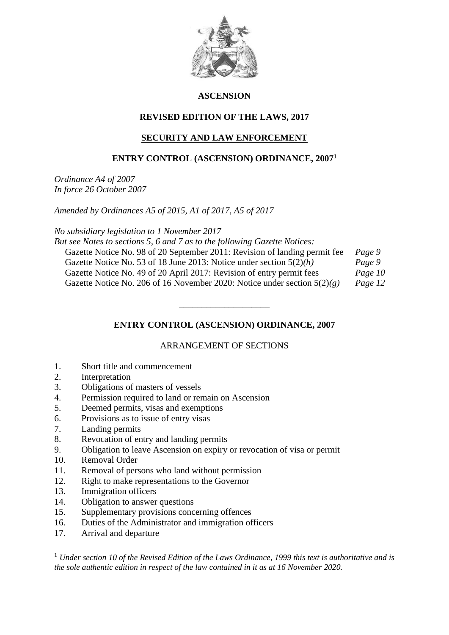

## **ASCENSION**

# **REVISED EDITION OF THE LAWS, 2017**

## **SECURITY AND LAW ENFORCEMENT**

## **ENTRY CONTROL (ASCENSION) ORDINANCE, 2007<sup>1</sup>**

*Ordinance A4 of 2007 In force 26 October 2007*

*Amended by Ordinances A5 of 2015, A1 of 2017, A5 of 2017*

*No subsidiary legislation to 1 November 2017*

*But see Notes to sections 5, 6 and 7 as to the following Gazette Notices:*

| Gazette Notice No. 98 of 20 September 2011: Revision of landing permit fee | Page 9  |
|----------------------------------------------------------------------------|---------|
| Gazette Notice No. 53 of 18 June 2013: Notice under section $5(2)(h)$      | Page 9  |
| Gazette Notice No. 49 of 20 April 2017: Revision of entry permit fees      | Page 10 |
| Gazette Notice No. 206 of 16 November 2020: Notice under section $5(2)(g)$ | Page 12 |

**ENTRY CONTROL (ASCENSION) ORDINANCE, 2007**

\_\_\_\_\_\_\_\_\_\_\_\_\_\_\_\_\_\_\_\_

## ARRANGEMENT OF SECTIONS

- 1. Short title and commencement
- 2. Interpretation
- 3. Obligations of masters of vessels
- 4. Permission required to land or remain on Ascension
- 5. Deemed permits, visas and exemptions
- 6. Provisions as to issue of entry visas
- 7. Landing permits
- 8. Revocation of entry and landing permits
- 9. Obligation to leave Ascension on expiry or revocation of visa or permit
- 10. Removal Order
- 11. Removal of persons who land without permission
- 12. Right to make representations to the Governor
- 13. Immigration officers
- 14. Obligation to answer questions
- 15. Supplementary provisions concerning offences
- 16. Duties of the Administrator and immigration officers
- 17. Arrival and departure

1

<sup>1</sup> *Under section 10 of the Revised Edition of the Laws Ordinance, 1999 this text is authoritative and is the sole authentic edition in respect of the law contained in it as at 16 November 2020.*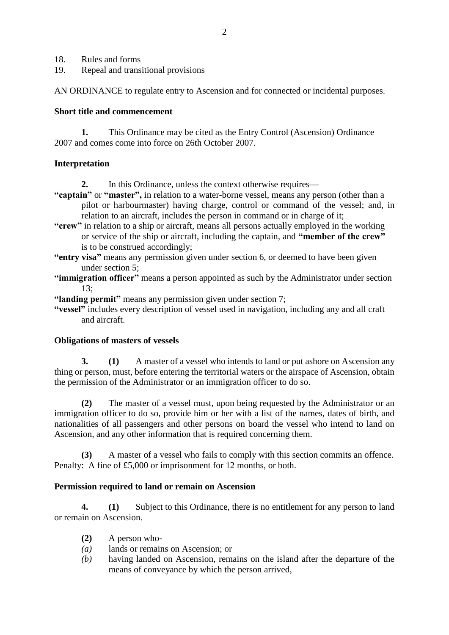- 18. Rules and forms
- 19. Repeal and transitional provisions

AN ORDINANCE to regulate entry to Ascension and for connected or incidental purposes.

#### **Short title and commencement**

**1.** This Ordinance may be cited as the Entry Control (Ascension) Ordinance 2007 and comes come into force on 26th October 2007.

### **Interpretation**

**2.** In this Ordinance, unless the context otherwise requires—

- **"captain"** or **"master",** in relation to a water-borne vessel, means any person (other than a pilot or harbourmaster) having charge, control or command of the vessel; and, in relation to an aircraft, includes the person in command or in charge of it;
- **"crew"** in relation to a ship or aircraft, means all persons actually employed in the working or service of the ship or aircraft, including the captain, and **"member of the crew"**  is to be construed accordingly;
- **"entry visa"** means any permission given under section 6, or deemed to have been given under section 5;
- **"immigration officer"** means a person appointed as such by the Administrator under section 13;
- **"landing permit"** means any permission given under section 7;
- **"vessel"** includes every description of vessel used in navigation, including any and all craft and aircraft.

## **Obligations of masters of vessels**

**3. (1)** A master of a vessel who intends to land or put ashore on Ascension any thing or person, must, before entering the territorial waters or the airspace of Ascension, obtain the permission of the Administrator or an immigration officer to do so.

**(2)** The master of a vessel must, upon being requested by the Administrator or an immigration officer to do so, provide him or her with a list of the names, dates of birth, and nationalities of all passengers and other persons on board the vessel who intend to land on Ascension, and any other information that is required concerning them.

**(3)** A master of a vessel who fails to comply with this section commits an offence. Penalty: A fine of £5,000 or imprisonment for 12 months, or both.

## **Permission required to land or remain on Ascension**

**4. (1)** Subject to this Ordinance, there is no entitlement for any person to land or remain on Ascension.

- **(2)** A person who-
- *(a)* lands or remains on Ascension; or
- *(b)* having landed on Ascension, remains on the island after the departure of the means of conveyance by which the person arrived,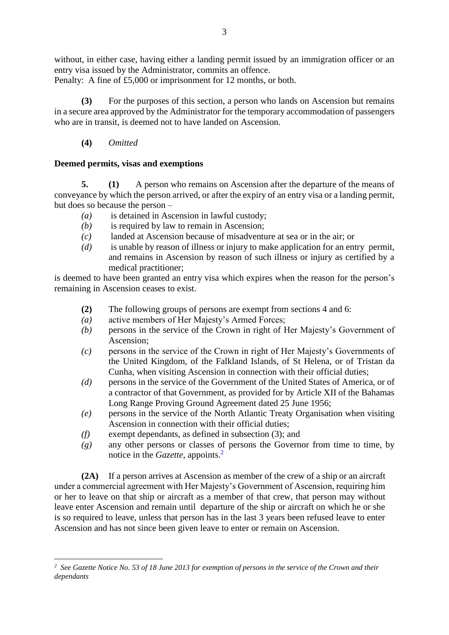without, in either case, having either a landing permit issued by an immigration officer or an entry visa issued by the Administrator, commits an offence.

Penalty: A fine of £5,000 or imprisonment for 12 months, or both.

**(3)** For the purposes of this section, a person who lands on Ascension but remains in a secure area approved by the Administrator for the temporary accommodation of passengers who are in transit, is deemed not to have landed on Ascension.

**(4)** *Omitted*

<u>.</u>

## **Deemed permits, visas and exemptions**

**5. (1)** A person who remains on Ascension after the departure of the means of conveyance by which the person arrived, or after the expiry of an entry visa or a landing permit, but does so because the person –

- *(a)* is detained in Ascension in lawful custody;
- *(b)* is required by law to remain in Ascension;
- *(c)* landed at Ascension because of misadventure at sea or in the air; or
- *(d)* is unable by reason of illness or injury to make application for an entry permit, and remains in Ascension by reason of such illness or injury as certified by a medical practitioner;

is deemed to have been granted an entry visa which expires when the reason for the person's remaining in Ascension ceases to exist.

- **(2)** The following groups of persons are exempt from sections 4 and 6:
- *(a)* active members of Her Majesty's Armed Forces;
- *(b)* persons in the service of the Crown in right of Her Majesty's Government of Ascension;
- *(c)* persons in the service of the Crown in right of Her Majesty's Governments of the United Kingdom, of the Falkland Islands, of St Helena, or of Tristan da Cunha, when visiting Ascension in connection with their official duties;
- *(d)* persons in the service of the Government of the United States of America, or of a contractor of that Government, as provided for by Article XII of the Bahamas Long Range Proving Ground Agreement dated 25 June 1956;
- *(e)* persons in the service of the North Atlantic Treaty Organisation when visiting Ascension in connection with their official duties;
- *(f)* exempt dependants, as defined in subsection (3); and
- *(g)* any other persons or classes of persons the Governor from time to time, by notice in the *Gazette,* appoints. 2

**(2A)** If a person arrives at Ascension as member of the crew of a ship or an aircraft under a commercial agreement with Her Majesty's Government of Ascension, requiring him or her to leave on that ship or aircraft as a member of that crew, that person may without leave enter Ascension and remain until departure of the ship or aircraft on which he or she is so required to leave, unless that person has in the last 3 years been refused leave to enter Ascension and has not since been given leave to enter or remain on Ascension.

*<sup>2</sup> See Gazette Notice No. 53 of 18 June 2013 for exemption of persons in the service of the Crown and their dependants*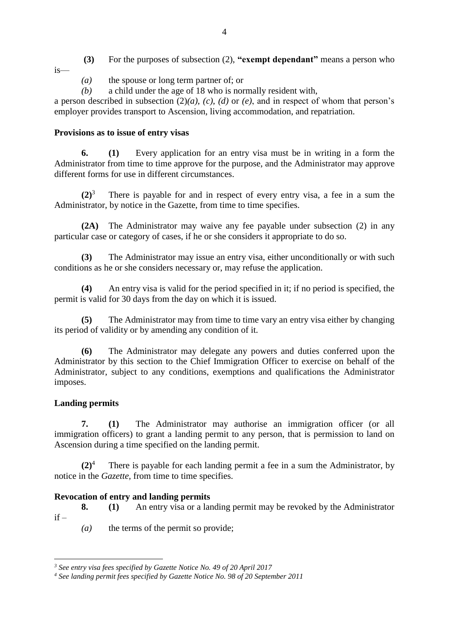**(3)** For the purposes of subsection (2), **"exempt dependant"** means a person who is—

- *(a)* the spouse or long term partner of; or
- *(b)* a child under the age of 18 who is normally resident with,

a person described in subsection (2)*(a)*, *(c)*, *(d)* or *(e)*, and in respect of whom that person's employer provides transport to Ascension, living accommodation, and repatriation.

### **Provisions as to issue of entry visas**

**6. (1)** Every application for an entry visa must be in writing in a form the Administrator from time to time approve for the purpose, and the Administrator may approve different forms for use in different circumstances.

**(2)**<sup>3</sup> There is payable for and in respect of every entry visa, a fee in a sum the Administrator, by notice in the Gazette, from time to time specifies.

**(2A)** The Administrator may waive any fee payable under subsection (2) in any particular case or category of cases, if he or she considers it appropriate to do so.

**(3)** The Administrator may issue an entry visa, either unconditionally or with such conditions as he or she considers necessary or, may refuse the application.

**(4)** An entry visa is valid for the period specified in it; if no period is specified, the permit is valid for 30 days from the day on which it is issued.

**(5)** The Administrator may from time to time vary an entry visa either by changing its period of validity or by amending any condition of it.

**(6)** The Administrator may delegate any powers and duties conferred upon the Administrator by this section to the Chief Immigration Officer to exercise on behalf of the Administrator, subject to any conditions, exemptions and qualifications the Administrator imposes.

## **Landing permits**

<u>.</u>

**7. (1)** The Administrator may authorise an immigration officer (or all immigration officers) to grant a landing permit to any person, that is permission to land on Ascension during a time specified on the landing permit.

**(2)**<sup>4</sup> There is payable for each landing permit a fee in a sum the Administrator, by notice in the *Gazette,* from time to time specifies.

## **Revocation of entry and landing permits**

**8. (1)** An entry visa or a landing permit may be revoked by the Administrator  $if =$ 

*(a)* the terms of the permit so provide;

*<sup>3</sup> See entry visa fees specified by Gazette Notice No. 49 of 20 April 2017*

*<sup>4</sup> See landing permit fees specified by Gazette Notice No. 98 of 20 September 2011*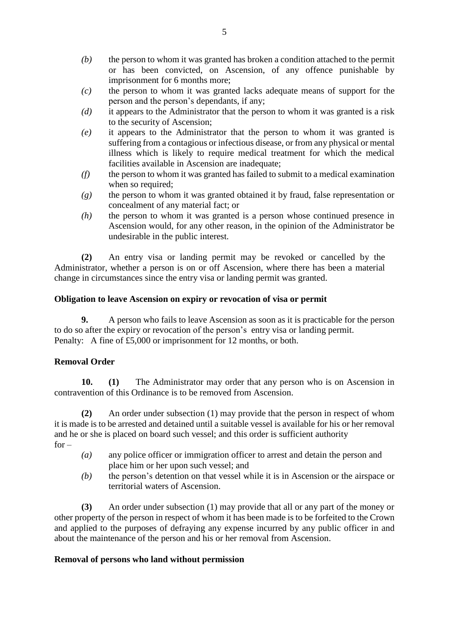- *(b)* the person to whom it was granted has broken a condition attached to the permit or has been convicted, on Ascension, of any offence punishable by imprisonment for 6 months more;
- *(c)* the person to whom it was granted lacks adequate means of support for the person and the person's dependants, if any;
- *(d)* it appears to the Administrator that the person to whom it was granted is a risk to the security of Ascension;
- *(e)* it appears to the Administrator that the person to whom it was granted is suffering from a contagious or infectious disease, or from any physical or mental illness which is likely to require medical treatment for which the medical facilities available in Ascension are inadequate;
- *(f)* the person to whom it was granted has failed to submit to a medical examination when so required;
- *(g)* the person to whom it was granted obtained it by fraud, false representation or concealment of any material fact; or
- *(h)* the person to whom it was granted is a person whose continued presence in Ascension would, for any other reason, in the opinion of the Administrator be undesirable in the public interest.

**(2)** An entry visa or landing permit may be revoked or cancelled by the Administrator, whether a person is on or off Ascension, where there has been a material change in circumstances since the entry visa or landing permit was granted.

### **Obligation to leave Ascension on expiry or revocation of visa or permit**

**9.** A person who fails to leave Ascension as soon as it is practicable for the person to do so after the expiry or revocation of the person's entry visa or landing permit. Penalty: A fine of £5,000 or imprisonment for 12 months, or both.

## **Removal Order**

**10. (1)** The Administrator may order that any person who is on Ascension in contravention of this Ordinance is to be removed from Ascension.

**(2)** An order under subsection (1) may provide that the person in respect of whom it is made is to be arrested and detained until a suitable vessel is available for his or her removal and he or she is placed on board such vessel; and this order is sufficient authority  $for -$ 

- *(a)* any police officer or immigration officer to arrest and detain the person and place him or her upon such vessel; and
- *(b)* the person's detention on that vessel while it is in Ascension or the airspace or territorial waters of Ascension.

**(3)** An order under subsection (1) may provide that all or any part of the money or other property of the person in respect of whom it has been made is to be forfeited to the Crown and applied to the purposes of defraying any expense incurred by any public officer in and about the maintenance of the person and his or her removal from Ascension.

#### **Removal of persons who land without permission**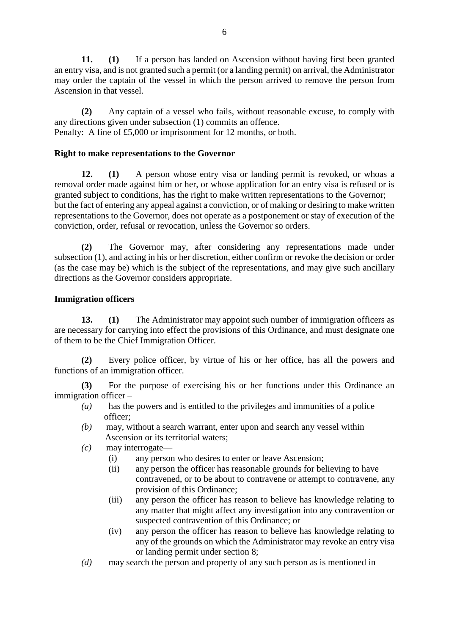**11. (1)** If a person has landed on Ascension without having first been granted an entry visa, and is not granted such a permit (or a landing permit) on arrival, the Administrator may order the captain of the vessel in which the person arrived to remove the person from Ascension in that vessel.

**(2)** Any captain of a vessel who fails, without reasonable excuse, to comply with any directions given under subsection (1) commits an offence. Penalty: A fine of £5,000 or imprisonment for 12 months, or both.

### **Right to make representations to the Governor**

**12. (1)** A person whose entry visa or landing permit is revoked, or whoas a removal order made against him or her, or whose application for an entry visa is refused or is granted subject to conditions, has the right to make written representations to the Governor; but the fact of entering any appeal against a conviction, or of making or desiring to make written representations to the Governor, does not operate as a postponement or stay of execution of the conviction, order, refusal or revocation, unless the Governor so orders.

**(2)** The Governor may, after considering any representations made under subsection (1), and acting in his or her discretion, either confirm or revoke the decision or order (as the case may be) which is the subject of the representations, and may give such ancillary directions as the Governor considers appropriate.

### **Immigration officers**

**13. (1)** The Administrator may appoint such number of immigration officers as are necessary for carrying into effect the provisions of this Ordinance, and must designate one of them to be the Chief Immigration Officer.

**(2)** Every police officer, by virtue of his or her office, has all the powers and functions of an immigration officer.

**(3)** For the purpose of exercising his or her functions under this Ordinance an immigration officer –

- *(a)* has the powers and is entitled to the privileges and immunities of a police officer;
- *(b)* may, without a search warrant, enter upon and search any vessel within Ascension or its territorial waters;
- *(c)* may interrogate—
	- (i) any person who desires to enter or leave Ascension;
	- (ii) any person the officer has reasonable grounds for believing to have contravened, or to be about to contravene or attempt to contravene, any provision of this Ordinance;
	- (iii) any person the officer has reason to believe has knowledge relating to any matter that might affect any investigation into any contravention or suspected contravention of this Ordinance; or
	- (iv) any person the officer has reason to believe has knowledge relating to any of the grounds on which the Administrator may revoke an entry visa or landing permit under section 8;
- *(d)* may search the person and property of any such person as is mentioned in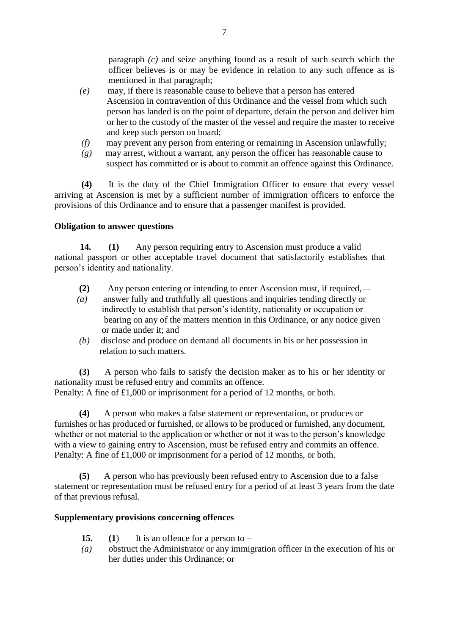paragraph *(c)* and seize anything found as a result of such search which the officer believes is or may be evidence in relation to any such offence as is mentioned in that paragraph;

- *(e)* may, if there is reasonable cause to believe that a person has entered Ascension in contravention of this Ordinance and the vessel from which such person has landed is on the point of departure, detain the person and deliver him or her to the custody of the master of the vessel and require the master to receive and keep such person on board;
- *(f)* may prevent any person from entering or remaining in Ascension unlawfully;
- *(g)* may arrest, without a warrant, any person the officer has reasonable cause to suspect has committed or is about to commit an offence against this Ordinance.

**(4)** It is the duty of the Chief Immigration Officer to ensure that every vessel arriving at Ascension is met by a sufficient number of immigration officers to enforce the provisions of this Ordinance and to ensure that a passenger manifest is provided.

### **Obligation to answer questions**

**14. (1)** Any person requiring entry to Ascension must produce a valid national passport or other acceptable travel document that satisfactorily establishes that person's identity and nationality.

- **(2)** Any person entering or intending to enter Ascension must, if required,—
- *(a)* answer fully and truthfully all questions and inquiries tending directly or indirectly to establish that person's identity, nationality or occupation or bearing on any of the matters mention in this Ordinance, or any notice given or made under it; and
- *(b)* disclose and produce on demand all documents in his or her possession in relation to such matters.

 **(3)** A person who fails to satisfy the decision maker as to his or her identity or nationality must be refused entry and commits an offence. Penalty: A fine of £1,000 or imprisonment for a period of 12 months, or both.

**(4)** A person who makes a false statement or representation, or produces or furnishes or has produced or furnished, or allows to be produced or furnished, any document, whether or not material to the application or whether or not it was to the person's knowledge with a view to gaining entry to Ascension, must be refused entry and commits an offence. Penalty: A fine of £1,000 or imprisonment for a period of 12 months, or both.

**(5)** A person who has previously been refused entry to Ascension due to a false statement or representation must be refused entry for a period of at least 3 years from the date of that previous refusal.

#### **Supplementary provisions concerning offences**

- **15. (1**) It is an offence for a person to –
- *(a)* obstruct the Administrator or any immigration officer in the execution of his or her duties under this Ordinance; or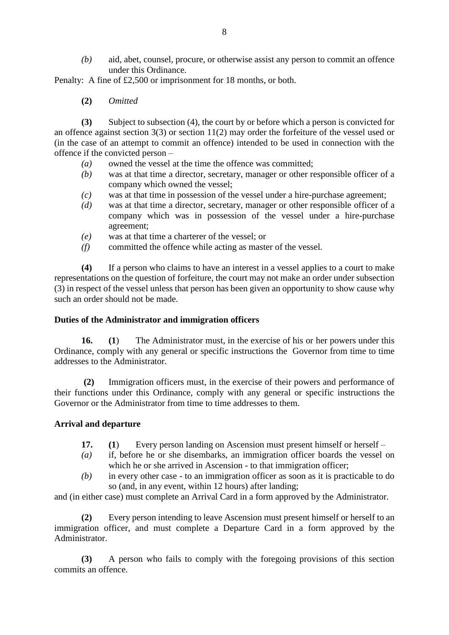*(b)* aid, abet, counsel, procure, or otherwise assist any person to commit an offence under this Ordinance.

Penalty: A fine of £2,500 or imprisonment for 18 months, or both.

**(2)** *Omitted*

**(3)** Subject to subsection (4), the court by or before which a person is convicted for an offence against section 3(3) or section 11(2) may order the forfeiture of the vessel used or (in the case of an attempt to commit an offence) intended to be used in connection with the offence if the convicted person –

- *(a)* owned the vessel at the time the offence was committed;
- *(b)* was at that time a director, secretary, manager or other responsible officer of a company which owned the vessel;
- *(c)* was at that time in possession of the vessel under a hire-purchase agreement;
- *(d)* was at that time a director, secretary, manager or other responsible officer of a company which was in possession of the vessel under a hire-purchase agreement;
- *(e)* was at that time a charterer of the vessel; or
- *(f)* committed the offence while acting as master of the vessel.

**(4)** If a person who claims to have an interest in a vessel applies to a court to make representations on the question of forfeiture, the court may not make an order under subsection (3) in respect of the vessel unless that person has been given an opportunity to show cause why such an order should not be made.

#### **Duties of the Administrator and immigration officers**

**16. (1**) The Administrator must, in the exercise of his or her powers under this Ordinance, comply with any general or specific instructions the Governor from time to time addresses to the Administrator.

**(2)** Immigration officers must, in the exercise of their powers and performance of their functions under this Ordinance, comply with any general or specific instructions the Governor or the Administrator from time to time addresses to them.

#### **Arrival and departure**

- **17. (1**) Every person landing on Ascension must present himself or herself –
- *(a)* if, before he or she disembarks, an immigration officer boards the vessel on which he or she arrived in Ascension - to that immigration officer;
- *(b)* in every other case to an immigration officer as soon as it is practicable to do so (and, in any event, within 12 hours) after landing;

and (in either case) must complete an Arrival Card in a form approved by the Administrator.

**(2)** Every person intending to leave Ascension must present himself or herself to an immigration officer, and must complete a Departure Card in a form approved by the Administrator.

**(3)** A person who fails to comply with the foregoing provisions of this section commits an offence.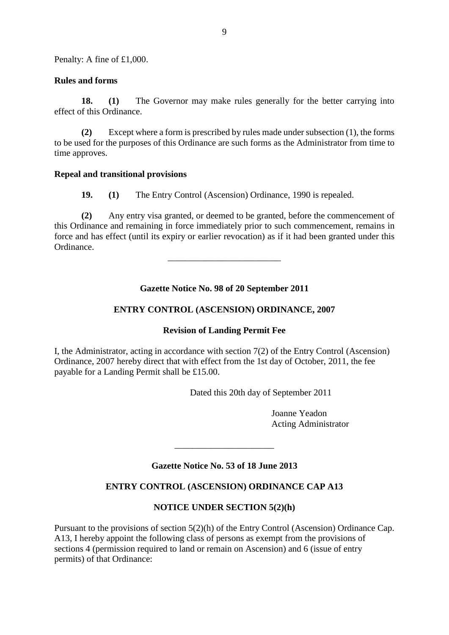Penalty: A fine of £1,000.

#### **Rules and forms**

**18. (1)** The Governor may make rules generally for the better carrying into effect of this Ordinance.

**(2)** Except where a form is prescribed by rules made under subsection (1), the forms to be used for the purposes of this Ordinance are such forms as the Administrator from time to time approves.

#### **Repeal and transitional provisions**

**19. (1)** The Entry Control (Ascension) Ordinance, 1990 is repealed.

**(2)** Any entry visa granted, or deemed to be granted, before the commencement of this Ordinance and remaining in force immediately prior to such commencement, remains in force and has effect (until its expiry or earlier revocation) as if it had been granted under this Ordinance.

\_\_\_\_\_\_\_\_\_\_\_\_\_\_\_\_\_\_\_\_\_\_\_\_\_

## **Gazette Notice No. 98 of 20 September 2011**

#### **ENTRY CONTROL (ASCENSION) ORDINANCE, 2007**

#### **Revision of Landing Permit Fee**

I, the Administrator, acting in accordance with section 7(2) of the Entry Control (Ascension) Ordinance, 2007 hereby direct that with effect from the 1st day of October, 2011, the fee payable for a Landing Permit shall be £15.00.

Dated this 20th day of September 2011

Joanne Yeadon Acting Administrator

## **Gazette Notice No. 53 of 18 June 2013**

\_\_\_\_\_\_\_\_\_\_\_\_\_\_\_\_\_\_\_\_\_\_

## **ENTRY CONTROL (ASCENSION) ORDINANCE CAP A13**

## **NOTICE UNDER SECTION 5(2)(h)**

Pursuant to the provisions of section 5(2)(h) of the Entry Control (Ascension) Ordinance Cap. A13, I hereby appoint the following class of persons as exempt from the provisions of sections 4 (permission required to land or remain on Ascension) and 6 (issue of entry permits) of that Ordinance: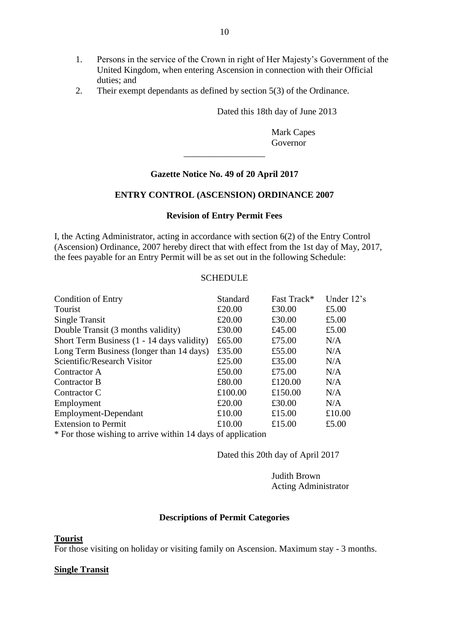- 1. Persons in the service of the Crown in right of Her Majesty's Government of the United Kingdom, when entering Ascension in connection with their Official duties; and
- 2. Their exempt dependants as defined by section 5(3) of the Ordinance.

Dated this 18th day of June 2013

Mark Capes Governor

### **Gazette Notice No. 49 of 20 April 2017**

\_\_\_\_\_\_\_\_\_\_\_\_\_\_\_\_\_\_

#### **ENTRY CONTROL (ASCENSION) ORDINANCE 2007**

#### **Revision of Entry Permit Fees**

I, the Acting Administrator, acting in accordance with section 6(2) of the Entry Control (Ascension) Ordinance, 2007 hereby direct that with effect from the 1st day of May, 2017, the fees payable for an Entry Permit will be as set out in the following Schedule:

#### **SCHEDULE**

| <b>Condition of Entry</b>                                   | Standard | Fast Track* | Under 12's |  |
|-------------------------------------------------------------|----------|-------------|------------|--|
| Tourist                                                     | £20.00   | £30.00      | £5.00      |  |
| Single Transit                                              | £20.00   | £30.00      | £5.00      |  |
| Double Transit (3 months validity)                          | £30.00   | £45.00      | £5.00      |  |
| Short Term Business (1 - 14 days validity)                  | £65.00   | £75.00      | N/A        |  |
| Long Term Business (longer than 14 days)                    | £35.00   | £55.00      | N/A        |  |
| Scientific/Research Visitor                                 | £25.00   | £35.00      | N/A        |  |
| Contractor A                                                | £50.00   | £75.00      | N/A        |  |
| Contractor B                                                | £80.00   | £120.00     | N/A        |  |
| Contractor C                                                | £100.00  | £150.00     | N/A        |  |
| Employment                                                  | £20.00   | £30.00      | N/A        |  |
| Employment-Dependant                                        | £10.00   | £15.00      | £10.00     |  |
| <b>Extension to Permit</b>                                  | £10.00   | £15.00      | £5.00      |  |
| * For those wishing to arrive within 14 days of application |          |             |            |  |

Dated this 20th day of April 2017

Judith Brown Acting Administrator

#### **Descriptions of Permit Categories**

#### **Tourist**

For those visiting on holiday or visiting family on Ascension. Maximum stay - 3 months.

#### **Single Transit**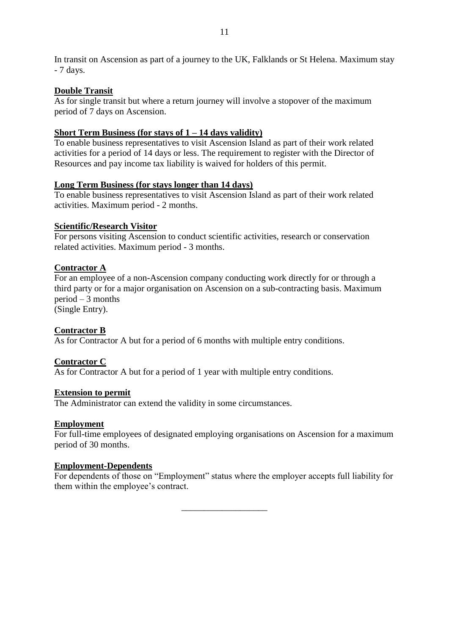## **Double Transit**

As for single transit but where a return journey will involve a stopover of the maximum period of 7 days on Ascension.

# **Short Term Business (for stays of 1 – 14 days validity)**

To enable business representatives to visit Ascension Island as part of their work related activities for a period of 14 days or less. The requirement to register with the Director of Resources and pay income tax liability is waived for holders of this permit.

## **Long Term Business (for stays longer than 14 days)**

To enable business representatives to visit Ascension Island as part of their work related activities. Maximum period - 2 months.

## **Scientific/Research Visitor**

For persons visiting Ascension to conduct scientific activities, research or conservation related activities. Maximum period - 3 months.

# **Contractor A**

For an employee of a non-Ascension company conducting work directly for or through a third party or for a major organisation on Ascension on a sub-contracting basis. Maximum period – 3 months

(Single Entry).

# **Contractor B**

As for Contractor A but for a period of 6 months with multiple entry conditions.

## **Contractor C**

As for Contractor A but for a period of 1 year with multiple entry conditions.

## **Extension to permit**

The Administrator can extend the validity in some circumstances.

## **Employment**

For full-time employees of designated employing organisations on Ascension for a maximum period of 30 months.

## **Employment-Dependents**

For dependents of those on "Employment" status where the employer accepts full liability for them within the employee's contract.

\_\_\_\_\_\_\_\_\_\_\_\_\_\_\_\_\_\_\_